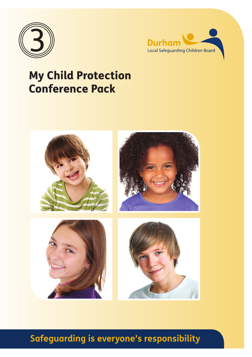



### My Child Protection Conference Pack



### **Safeguarding is everyone's responsibility**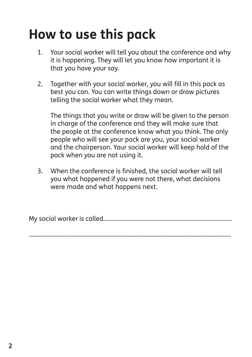## **How to use this pack**

- 1. Your social worker will tell you about the conference and why it is happening. They will let you know how important it is that you have your say.
- 2. Together with your social worker, you will fill in this pack as best you can. You can write things down or draw pictures telling the social worker what they mean.

 The things that you write or draw will be given to the person in charge of the conference and they will make sure that the people at the conference know what you think. The only people who will see your pack are you, your social worker and the chairperson. Your social worker will keep hold of the pack when you are not using it.

 3. When the conference is finished, the social worker will tell you what happened if you were not there, what decisions were made and what happens next.

My social worker is called.................................................................................

...............................................................................................................................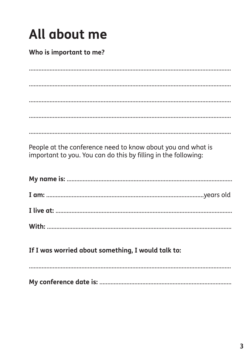# All about me

#### Who is important to me?

People at the conference need to know about you and what is important to you. You can do this by filling in the following:

If I was worried about something, I would talk to: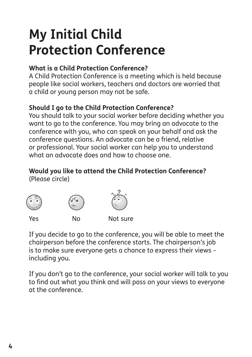## **My Initial Child Protection Conference**

#### **What is a Child Protection Conference?**

A Child Protection Conference is a meeting which is held because people like social workers, teachers and doctors are worried that a child or young person may not be safe.

#### **Should I go to the Child Protection Conference?**

You should talk to your social worker before deciding whether you want to go to the conference. You may bring an advocate to the conference with you, who can speak on your behalf and ask the conference questions. An advocate can be a friend, relative or professional. Your social worker can help you to understand what an advocate does and how to choose one.

#### **Would you like to attend the Child Protection Conference?** (Please circle)



If you decide to go to the conference, you will be able to meet the chairperson before the conference starts. The chairperson's job is to make sure everyone gets a chance to express their views – including you.

If you don't go to the conference, your social worker will talk to you to find out what you think and will pass on your views to everyone at the conference.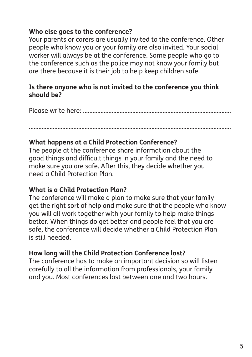#### **Who else goes to the conference?**

Your parents or carers are usually invited to the conference. Other people who know you or your family are also invited. Your social worker will always be at the conference. Some people who go to the conference such as the police may not know your family but are there because it is their job to help keep children safe.

#### **Is there anyone who is not invited to the conference you think should be?**

Please write here: .............................................................................................

...............................................................................................................................

#### **What happens at a Child Protection Conference?**

The people at the conference share information about the good things and difficult things in your family and the need to make sure you are safe. After this, they decide whether you need a Child Protection Plan.

#### **What is a Child Protection Plan?**

The conference will make a plan to make sure that your family get the right sort of help and make sure that the people who know you will all work together with your family to help make things better. When things do get better and people feel that you are safe, the conference will decide whether a Child Protection Plan is still needed.

#### **How long will the Child Protection Conference last?**

The conference has to make an important decision so will listen carefully to all the information from professionals, your family and you. Most conferences last between one and two hours.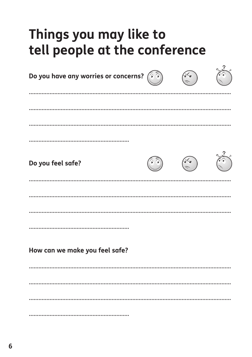### Things you may like to tell people at the conference

| Do you have any worries or concerns? | (a) |  |
|--------------------------------------|-----|--|
|                                      |     |  |
|                                      |     |  |
| Do you feel safe?                    |     |  |
|                                      |     |  |
|                                      |     |  |
| How can we make you feel safe?       |     |  |
|                                      |     |  |
|                                      |     |  |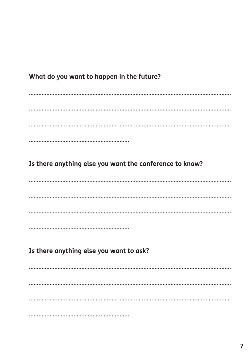#### What do you want to happen in the future?

Is there anything else you want the conference to know?

Is there anything else you want to ask?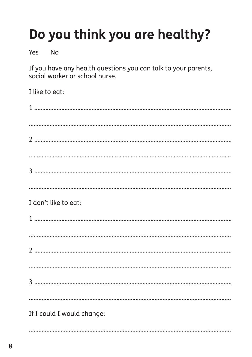# Do you think you are healthy?

Yes  $No$ 

If you have any health questions you can talk to your parents, social worker or school nurse.

| I like to eat:             |
|----------------------------|
|                            |
|                            |
|                            |
|                            |
|                            |
| I don't like to eat:       |
|                            |
|                            |
|                            |
|                            |
|                            |
| If I could I would change: |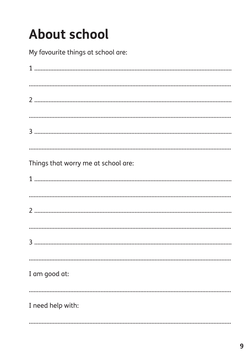# **About school**

My favourite things at school are:

| Things that worry me at school are: |
|-------------------------------------|
|                                     |
|                                     |
|                                     |
| I am good at:                       |
| I need help with:                   |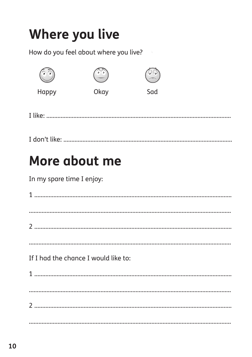# **Where you live**

How do you feel about where you live?

| $\bullet$ $\bullet$ |      | 'ਚ' 'ਚ'<br>$\widehat{\phantom{m}}$ |  |
|---------------------|------|------------------------------------|--|
| Happy               | Okay | Sad                                |  |

### More about me

In my spare time I enjoy:

| If I had the chance I would like to: |  |
|--------------------------------------|--|
|                                      |  |
|                                      |  |
|                                      |  |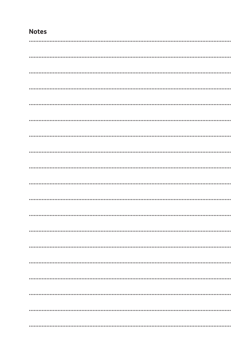#### **Notes**